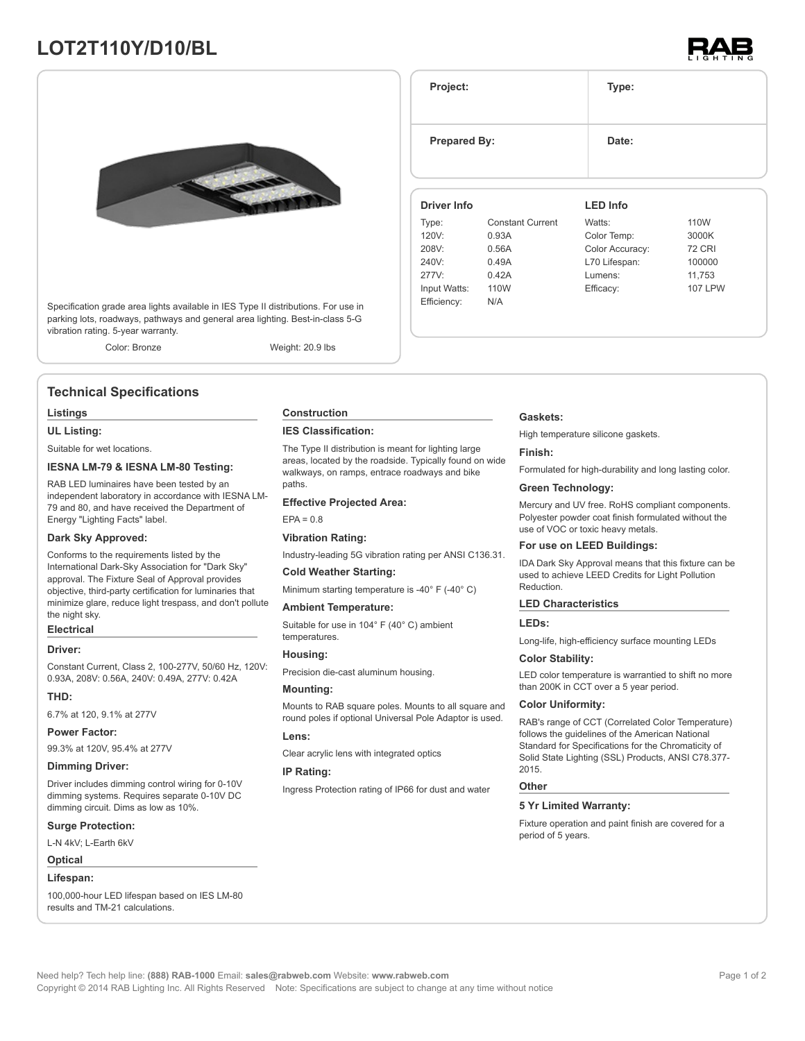# **LOT2T110Y/D10/BL**





Specification grade area lights available in IES Type II distributions. For use in parking lots, roadways, pathways and general area lighting. Best-in-class 5-G vibration rating. 5-year warranty.

Color: Bronze Weight: 20.9 lbs

# **Technical Specifications**

### **Listings**

**UL Listing:**

Suitable for wet locations.

#### **IESNA LM-79 & IESNA LM-80 Testing:**

RAB LED luminaires have been tested by an independent laboratory in accordance with IESNA LM-79 and 80, and have received the Department of Energy "Lighting Facts" label.

#### **Dark Sky Approved:**

Conforms to the requirements listed by the International Dark-Sky Association for "Dark Sky" approval. The Fixture Seal of Approval provides objective, third-party certification for luminaries that minimize glare, reduce light trespass, and don't pollute the night sky.

# **Electrical**

## **Driver:**

Constant Current, Class 2, 100-277V, 50/60 Hz, 120V: 0.93A, 208V: 0.56A, 240V: 0.49A, 277V: 0.42A

#### **THD:**

6.7% at 120, 9.1% at 277V

#### **Power Factor:**

99.3% at 120V, 95.4% at 277V

#### **Dimming Driver:**

Driver includes dimming control wiring for 0-10V dimming systems. Requires separate 0-10V DC dimming circuit. Dims as low as 10%.

#### **Surge Protection:**

L-N 4kV; L-Earth 6kV

#### **Optical**

#### **Lifespan:**

100,000-hour LED lifespan based on IES LM-80 results and TM-21 calculations.

### **Construction**

#### **IES Classification:**

The Type II distribution is meant for lighting large areas, located by the roadside. Typically found on wide walkways, on ramps, entrace roadways and bike paths

#### **Effective Projected Area:**

#### $EPA = 0.8$

**Vibration Rating:**

Industry-leading 5G vibration rating per ANSI C136.31.

#### **Cold Weather Starting:**

Minimum starting temperature is -40° F (-40° C)

#### **Ambient Temperature:**

Suitable for use in 104° F (40° C) ambient temperatures.

# **Housing:**

Precision die-cast aluminum housing.

#### **Mounting:**

Mounts to RAB square poles. Mounts to all square and round poles if optional Universal Pole Adaptor is used.

# **Lens:**

Clear acrylic lens with integrated optics

### **IP Rating:**

Ingress Protection rating of IP66 for dust and water

#### **Gaskets:**

**Project: Type:**

**Prepared By:** Date:

**Driver Info**

Type: Constant Current

120V: 0.93A 208V: 0.56A 240V: 0.49A 277V: 0.42A Input Watts: 110W Efficiency: N/A

High temperature silicone gaskets.

**LED Info**

Watts: 110W Color Temp: 3000K Color Accuracy: 72 CRI L70 Lifespan: 100000 Lumens: 11,753 Efficacy: 107 LPW

#### **Finish:**

Formulated for high-durability and long lasting color.

#### **Green Technology:**

Mercury and UV free. RoHS compliant components. Polyester powder coat finish formulated without the use of VOC or toxic heavy metals.

#### **For use on LEED Buildings:**

IDA Dark Sky Approval means that this fixture can be used to achieve LEED Credits for Light Pollution Reduction.

#### **LED Characteristics**

#### **LEDs:**

Long-life, high-efficiency surface mounting LEDs

#### **Color Stability:**

LED color temperature is warrantied to shift no more than 200K in CCT over a 5 year period.

#### **Color Uniformity:**

RAB's range of CCT (Correlated Color Temperature) follows the guidelines of the American National Standard for Specifications for the Chromaticity of Solid State Lighting (SSL) Products, ANSI C78.377- 2015.

#### **Other**

#### **5 Yr Limited Warranty:**

Fixture operation and paint finish are covered for a period of 5 years.